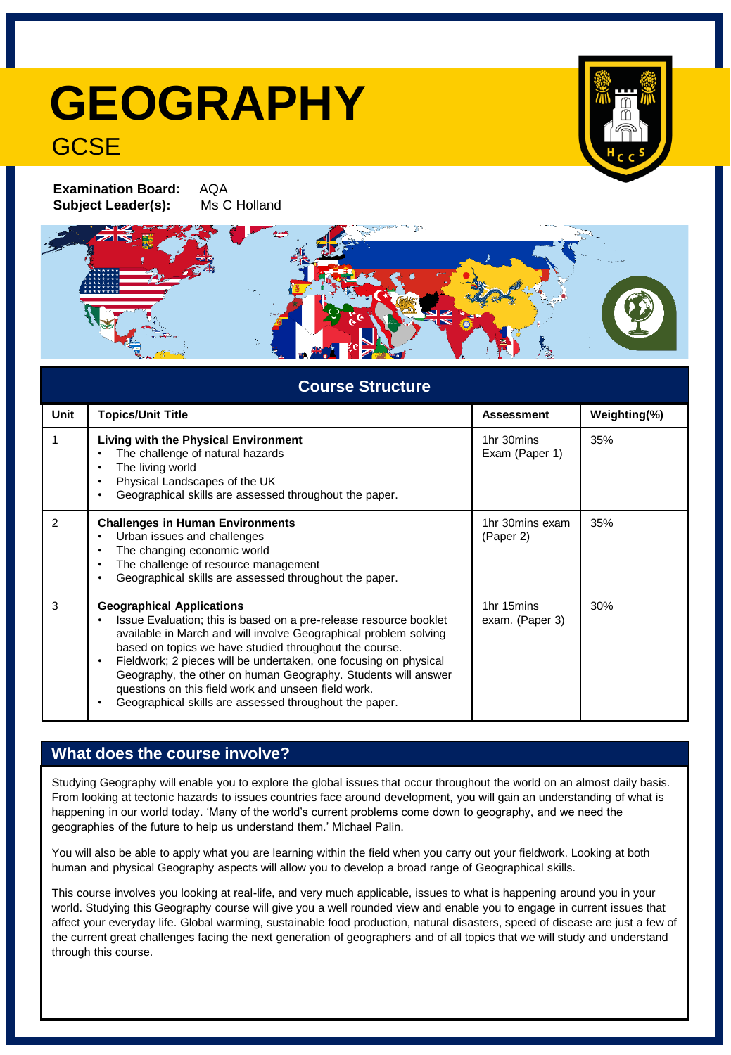## **GEOGRAPHY GCSE**

**Examination Board:** AQA **Subject Leader(s):** Ms C Holland



| <b>Course Structure</b> |                                                                                                                                                                                                                                                                                                                                                                                                                                                                                           |                               |              |
|-------------------------|-------------------------------------------------------------------------------------------------------------------------------------------------------------------------------------------------------------------------------------------------------------------------------------------------------------------------------------------------------------------------------------------------------------------------------------------------------------------------------------------|-------------------------------|--------------|
| <b>Unit</b>             | <b>Topics/Unit Title</b>                                                                                                                                                                                                                                                                                                                                                                                                                                                                  | <b>Assessment</b>             | Weighting(%) |
|                         | <b>Living with the Physical Environment</b><br>The challenge of natural hazards<br>The living world<br>Physical Landscapes of the UK<br>Geographical skills are assessed throughout the paper.                                                                                                                                                                                                                                                                                            | 1hr 30mins<br>Exam (Paper 1)  | 35%          |
| $\mathcal{P}$           | <b>Challenges in Human Environments</b><br>Urban issues and challenges<br>The changing economic world<br>The challenge of resource management<br>Geographical skills are assessed throughout the paper.                                                                                                                                                                                                                                                                                   | 1hr 30mins exam<br>(Paper 2)  | 35%          |
| 3                       | <b>Geographical Applications</b><br>Issue Evaluation; this is based on a pre-release resource booklet<br>available in March and will involve Geographical problem solving<br>based on topics we have studied throughout the course.<br>Fieldwork; 2 pieces will be undertaken, one focusing on physical<br>Geography, the other on human Geography. Students will answer<br>questions on this field work and unseen field work.<br>Geographical skills are assessed throughout the paper. | 1hr 15mins<br>exam. (Paper 3) | 30%          |

## **What does the course involve?**

Studying Geography will enable you to explore the global issues that occur throughout the world on an almost daily basis. From looking at tectonic hazards to issues countries face around development, you will gain an understanding of what is happening in our world today. 'Many of the world's current problems come down to geography, and we need the geographies of the future to help us understand them.' Michael Palin.

You will also be able to apply what you are learning within the field when you carry out your fieldwork. Looking at both human and physical Geography aspects will allow you to develop a broad range of Geographical skills.

This course involves you looking at real-life, and very much applicable, issues to what is happening around you in your world. Studying this Geography course will give you a well rounded view and enable you to engage in current issues that affect your everyday life. Global warming, sustainable food production, natural disasters, speed of disease are just a few of the current great challenges facing the next generation of geographers and of all topics that we will study and understand through this course.